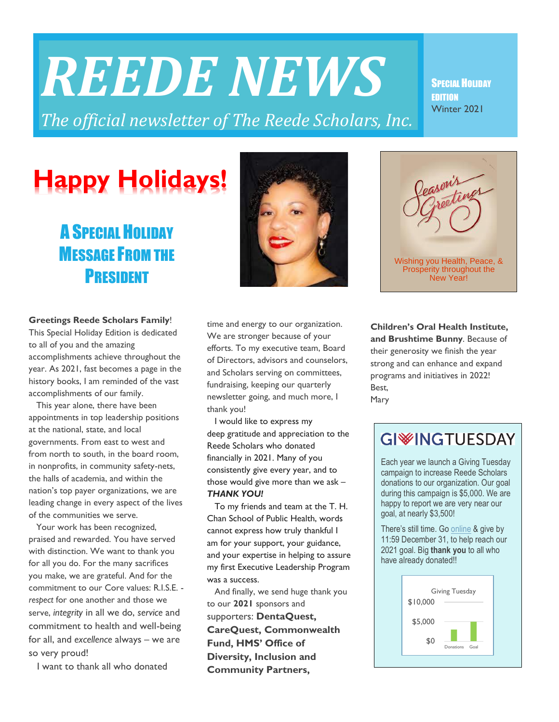# *REEDE NEWS*

*The official newsletter of The Reede Scholars, Inc.* 

#### SPECIAL HOLIDAY EDITION Winter 2021

## **Happy Holidays!**

## A SPECIAL HOLIDAY **MESSAGE FROM THE PRESIDENT**



This Special Holiday Edition is dedicated to all of you and the amazing accomplishments achieve throughout the year. As 2021, fast becomes a page in the history books, I am reminded of the vast accomplishments of our family.

 This year alone, there have been appointments in top leadership positions at the national, state, and local governments. From east to west and from north to south, in the board room, in nonprofits, in community safety-nets, the halls of academia, and within the nation's top payer organizations, we are leading change in every aspect of the lives of the communities we serve.

 Your work has been recognized, praised and rewarded. You have served with distinction. We want to thank you for all you do. For the many sacrifices you make, we are grateful. And for the commitment to our Core values: R.I.S.E. *respect* for one another and those we serve, *integrity* in all we do, *service* and commitment to health and well-being for all, and *excellence* always – we are so very proud!

I want to thank all who donated

time and energy to our organization. We are stronger because of your efforts. To my executive team, Board of Directors, advisors and counselors, and Scholars serving on committees, fundraising, keeping our quarterly newsletter going, and much more, I thank you!

 I would like to express my deep gratitude and appreciation to the Reede Scholars who donated financially in 2021. Many of you consistently give every year, and to those would give more than we ask – *THANK YOU!*

 To my friends and team at the T. H. Chan School of Public Health, words cannot express how truly thankful I am for your support, your guidance, and your expertise in helping to assure my first Executive Leadership Program was a success.

 And finally, we send huge thank you to our **2021** sponsors and supporters: **DentaQuest, CareQuest, Commonwealth Fund, HMS' Office of Diversity, Inclusion and Community Partners,**

**Children's Oral Health Institute, and Brushtime Bunny**. Because of their generosity we finish the year strong and can enhance and expand programs and initiatives in 2022! Best, Mary

## **GIWINGTUESDAY**

Each year we launch a Giving Tuesday campaign to increase Reede Scholars donations to our organization. Our goal during this campaign is \$5,000. We are happy to report we are very near our goal, at nearly \$3,500!

There's still time. Go [online](https://reedescholars.org/Join-us) & give by 11:59 December 31, to help reach our 2021 goal. Big **thank you** to all who have already donated!!







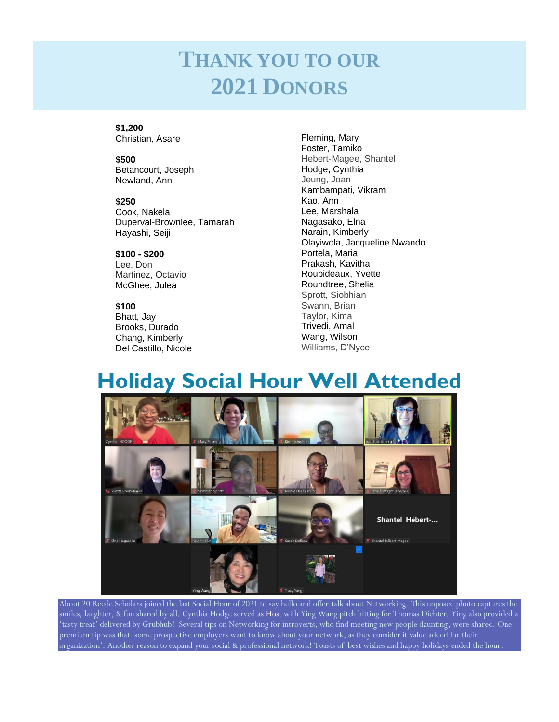## **THANK YOU TO OUR 2021 DONORS**

**\$1,200** Christian, Asare

**\$500** Betancourt, Joseph

Newland, Ann

**\$250** Cook, Nakela Duperval-Brownlee, Tamarah Hayashi, Seiji

**\$100 - \$200** Lee, Don Martinez, Octavio McGhee, Julea

**\$100** Bhatt, Jay Brooks, Durado Chang, Kimberly Del Castillo, Nicole

Fleming, Mary Foster, Tamiko Hebert-Magee, Shantel Hodge, Cynthia Jeung, Joan Kambampati, Vikram Kao, Ann Lee, Marshala Nagasako, Elna Narain, Kimberly Olayiwola, Jacqueline Nwando Portela, Maria Prakash, Kavitha Roubideaux, Yvette Roundtree, Shelia Sprott, Siobhian Swann, Brian Taylor, Kima Trivedi, Amal Wang, Wilson Williams, D'Nyce

## **Holiday Social Hour Well Attended**



About 20 Reede Scholars joined the last Social Hour of 2021 to say hello and offer talk about Networking. This unposed photo captures the smiles, laughter, & fun shared by all. Cynthia Hodge served as Host with Ying Wang pitch hitting for Thomas Dichter. Ying also provided a 'tasty treat' delivered by Grubhub! Several tips on Networking for introverts, who find meeting new people daunting, were shared. One premium tip was that 'some prospective employers want to know about your network, as they consider it value added for their organization'. Another reason to expand your social & professional network! Toasts of best wishes and happy holidays ended the hour.